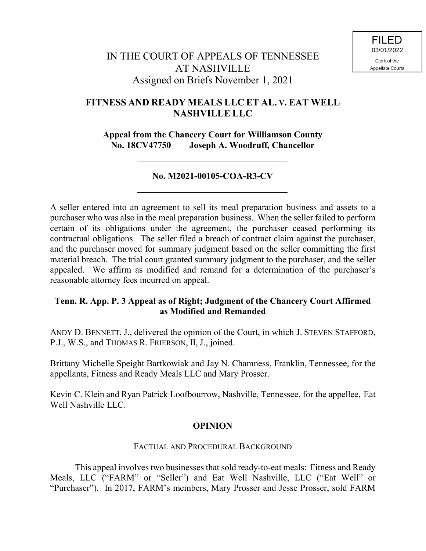# **FITNESS AND READY MEALS LLC ET AL. V. EAT WELL NASHVILLE LLC**

**Appeal from the Chancery Court for Williamson County No. 18CV47750 Joseph A. Woodruff, Chancellor**

## **No. M2021-00105-COA-R3-CV**

A seller entered into an agreement to sell its meal preparation business and assets to a purchaser who was also in the meal preparation business. When the seller failed to perform certain of its obligations under the agreement, the purchaser ceased performing its contractual obligations. The seller filed a breach of contract claim against the purchaser, and the purchaser moved for summary judgment based on the seller committing the first material breach. The trial court granted summary judgment to the purchaser, and the seller appealed. We affirm as modified and remand for a determination of the purchaser's reasonable attorney fees incurred on appeal.

## **Tenn. R. App. P. 3 Appeal as of Right; Judgment of the Chancery Court Affirmed as Modified and Remanded**

ANDY D. BENNETT, J., delivered the opinion of the Court, in which J. STEVEN STAFFORD, P.J., W.S., and THOMAS R. FRIERSON, II, J., joined.

Brittany Michelle Speight Bartkowiak and Jay N. Chamness, Franklin, Tennessee, for the appellants, Fitness and Ready Meals LLC and Mary Prosser.

Kevin C. Klein and Ryan Patrick Loofbourrow, Nashville, Tennessee, for the appellee, Eat Well Nashville LLC.

## **OPINION**

### FACTUAL AND PROCEDURAL BACKGROUND

This appeal involves two businesses that sold ready-to-eat meals: Fitness and Ready Meals, LLC ("FARM" or "Seller") and Eat Well Nashville, LLC ("Eat Well" or "Purchaser"). In 2017, FARM's members, Mary Prosser and Jesse Prosser, sold FARM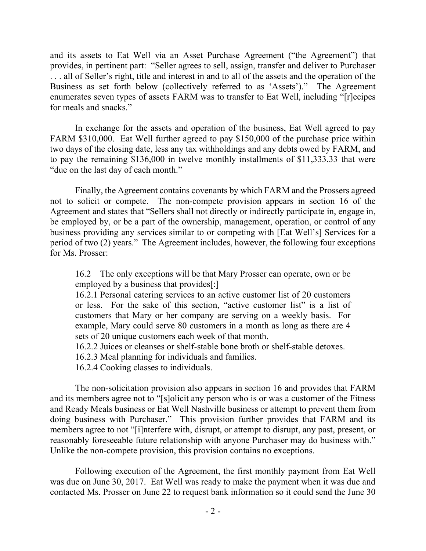and its assets to Eat Well via an Asset Purchase Agreement ("the Agreement") that provides, in pertinent part: "Seller agrees to sell, assign, transfer and deliver to Purchaser . . . all of Seller's right, title and interest in and to all of the assets and the operation of the Business as set forth below (collectively referred to as 'Assets')." The Agreement enumerates seven types of assets FARM was to transfer to Eat Well, including "[r]ecipes for meals and snacks."

In exchange for the assets and operation of the business, Eat Well agreed to pay FARM \$310,000. Eat Well further agreed to pay \$150,000 of the purchase price within two days of the closing date, less any tax withholdings and any debts owed by FARM, and to pay the remaining \$136,000 in twelve monthly installments of \$11,333.33 that were "due on the last day of each month."

Finally, the Agreement contains covenants by which FARM and the Prossers agreed not to solicit or compete. The non-compete provision appears in section 16 of the Agreement and states that "Sellers shall not directly or indirectly participate in, engage in, be employed by, or be a part of the ownership, management, operation, or control of any business providing any services similar to or competing with [Eat Well's] Services for a period of two (2) years." The Agreement includes, however, the following four exceptions for Ms. Prosser:

16.2 The only exceptions will be that Mary Prosser can operate, own or be employed by a business that provides[:]

16.2.1 Personal catering services to an active customer list of 20 customers or less. For the sake of this section, "active customer list" is a list of customers that Mary or her company are serving on a weekly basis. For example, Mary could serve 80 customers in a month as long as there are 4 sets of 20 unique customers each week of that month.

16.2.2 Juices or cleanses or shelf-stable bone broth or shelf-stable detoxes.

16.2.3 Meal planning for individuals and families.

16.2.4 Cooking classes to individuals.

The non-solicitation provision also appears in section 16 and provides that FARM and its members agree not to "[s]olicit any person who is or was a customer of the Fitness and Ready Meals business or Eat Well Nashville business or attempt to prevent them from doing business with Purchaser." This provision further provides that FARM and its members agree to not "[i]nterfere with, disrupt, or attempt to disrupt, any past, present, or reasonably foreseeable future relationship with anyone Purchaser may do business with." Unlike the non-compete provision, this provision contains no exceptions.

Following execution of the Agreement, the first monthly payment from Eat Well was due on June 30, 2017. Eat Well was ready to make the payment when it was due and contacted Ms. Prosser on June 22 to request bank information so it could send the June 30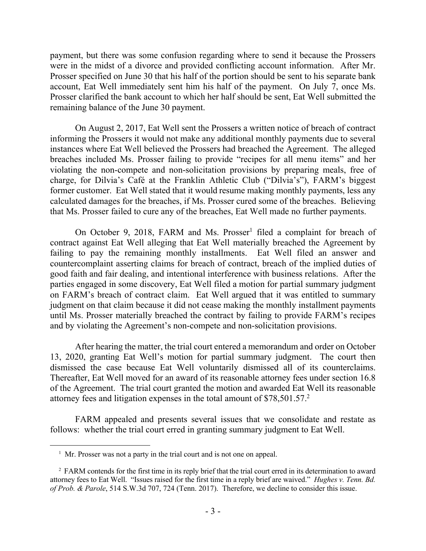payment, but there was some confusion regarding where to send it because the Prossers were in the midst of a divorce and provided conflicting account information. After Mr. Prosser specified on June 30 that his half of the portion should be sent to his separate bank account, Eat Well immediately sent him his half of the payment. On July 7, once Ms. Prosser clarified the bank account to which her half should be sent, Eat Well submitted the remaining balance of the June 30 payment.

On August 2, 2017, Eat Well sent the Prossers a written notice of breach of contract informing the Prossers it would not make any additional monthly payments due to several instances where Eat Well believed the Prossers had breached the Agreement. The alleged breaches included Ms. Prosser failing to provide "recipes for all menu items" and her violating the non-compete and non-solicitation provisions by preparing meals, free of charge, for Dilvia's Café at the Franklin Athletic Club ("Dilvia's"), FARM's biggest former customer. Eat Well stated that it would resume making monthly payments, less any calculated damages for the breaches, if Ms. Prosser cured some of the breaches. Believing that Ms. Prosser failed to cure any of the breaches, Eat Well made no further payments.

On October 9, 2018, FARM and Ms. Prosser<sup>1</sup> filed a complaint for breach of contract against Eat Well alleging that Eat Well materially breached the Agreement by failing to pay the remaining monthly installments. Eat Well filed an answer and countercomplaint asserting claims for breach of contract, breach of the implied duties of good faith and fair dealing, and intentional interference with business relations. After the parties engaged in some discovery, Eat Well filed a motion for partial summary judgment on FARM's breach of contract claim. Eat Well argued that it was entitled to summary judgment on that claim because it did not cease making the monthly installment payments until Ms. Prosser materially breached the contract by failing to provide FARM's recipes and by violating the Agreement's non-compete and non-solicitation provisions.

After hearing the matter, the trial court entered a memorandum and order on October 13, 2020, granting Eat Well's motion for partial summary judgment. The court then dismissed the case because Eat Well voluntarily dismissed all of its counterclaims. Thereafter, Eat Well moved for an award of its reasonable attorney fees under section 16.8 of the Agreement. The trial court granted the motion and awarded Eat Well its reasonable attorney fees and litigation expenses in the total amount of \$78,501.57. $^2$ 

FARM appealed and presents several issues that we consolidate and restate as follows: whether the trial court erred in granting summary judgment to Eat Well.

 $\overline{a}$ 

<sup>&</sup>lt;sup>1</sup> Mr. Prosser was not a party in the trial court and is not one on appeal.

<sup>&</sup>lt;sup>2</sup> FARM contends for the first time in its reply brief that the trial court erred in its determination to award attorney fees to Eat Well. "Issues raised for the first time in a reply brief are waived." *Hughes v. Tenn. Bd. of Prob. & Parole*, 514 S.W.3d 707, 724 (Tenn. 2017). Therefore, we decline to consider this issue.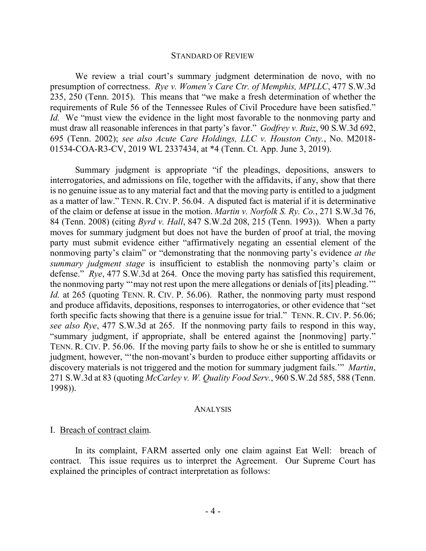#### STANDARD OF REVIEW

We review a trial court's summary judgment determination de novo, with no presumption of correctness. *Rye v. Women's Care Ctr. of Memphis, MPLLC*, 477 S.W.3d 235, 250 (Tenn. 2015). This means that "we make a fresh determination of whether the requirements of Rule 56 of the Tennessee Rules of Civil Procedure have been satisfied." *Id.* We "must view the evidence in the light most favorable to the nonmoving party and must draw all reasonable inferences in that party's favor." *Godfrey v. Ruiz*, 90 S.W.3d 692, 695 (Tenn. 2002); *see also Acute Care Holdings, LLC v. Houston Cnty.*, No. M2018- 01534-COA-R3-CV, 2019 WL 2337434, at \*4 (Tenn. Ct. App. June 3, 2019).

Summary judgment is appropriate "if the pleadings, depositions, answers to interrogatories, and admissions on file, together with the affidavits, if any, show that there is no genuine issue as to any material fact and that the moving party is entitled to a judgment as a matter of law." TENN. R. CIV. P. 56.04. A disputed fact is material if it is determinative of the claim or defense at issue in the motion. *Martin v. Norfolk S. Ry. Co.*, 271 S.W.3d 76, 84 (Tenn. 2008) (citing *Byrd v. Hall*, 847 S.W.2d 208, 215 (Tenn. 1993)). When a party moves for summary judgment but does not have the burden of proof at trial, the moving party must submit evidence either "affirmatively negating an essential element of the nonmoving party's claim" or "demonstrating that the nonmoving party's evidence *at the summary judgment stage* is insufficient to establish the nonmoving party's claim or defense." *Rye*, 477 S.W.3d at 264. Once the moving party has satisfied this requirement, the nonmoving party "'may not rest upon the mere allegations or denials of [its] pleading.'" *Id.* at 265 (quoting TENN. R. CIV. P. 56.06). Rather, the nonmoving party must respond and produce affidavits, depositions, responses to interrogatories, or other evidence that "set forth specific facts showing that there is a genuine issue for trial." TENN. R. CIV. P. 56.06; *see also Rye*, 477 S.W.3d at 265. If the nonmoving party fails to respond in this way, "summary judgment, if appropriate, shall be entered against the [nonmoving] party." TENN. R. CIV. P. 56.06. If the moving party fails to show he or she is entitled to summary judgment, however, "'the non-movant's burden to produce either supporting affidavits or discovery materials is not triggered and the motion for summary judgment fails.'" *Martin*, 271 S.W.3d at 83 (quoting *McCarley v. W. Quality Food Serv.*, 960 S.W.2d 585, 588 (Tenn. 1998)).

#### ANALYSIS

#### I. Breach of contract claim.

In its complaint, FARM asserted only one claim against Eat Well: breach of contract. This issue requires us to interpret the Agreement. Our Supreme Court has explained the principles of contract interpretation as follows: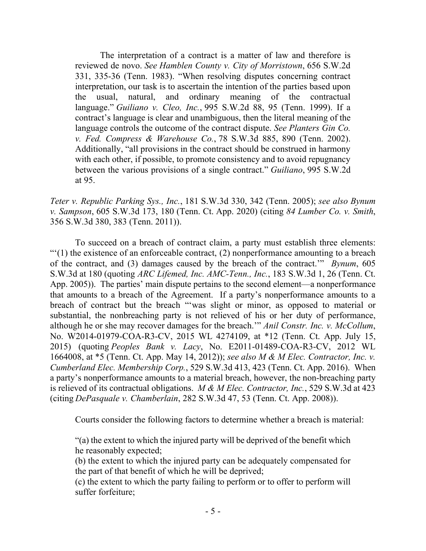The interpretation of a contract is a matter of law and therefore is reviewed de novo. *See Hamblen County v. City of Morristown*, 656 S.W.2d 331, 335-36 (Tenn. 1983). "When resolving disputes concerning contract interpretation, our task is to ascertain the intention of the parties based upon the usual, natural, and ordinary meaning of the contractual language." *Guiliano v. Cleo, Inc.*, 995 S.W.2d 88, 95 (Tenn. 1999). If a contract's language is clear and unambiguous, then the literal meaning of the language controls the outcome of the contract dispute. *See Planters Gin Co. v. Fed. Compress & Warehouse Co.*, 78 S.W.3d 885, 890 (Tenn. 2002). Additionally, "all provisions in the contract should be construed in harmony with each other, if possible, to promote consistency and to avoid repugnancy between the various provisions of a single contract." *Guiliano*, 995 S.W.2d at 95.

*Teter v. Republic Parking Sys., Inc.*, 181 S.W.3d 330, 342 (Tenn. 2005); *see also Bynum v. Sampson*, 605 S.W.3d 173, 180 (Tenn. Ct. App. 2020) (citing *84 Lumber Co. v. Smith*, 356 S.W.3d 380, 383 (Tenn. 2011)).

To succeed on a breach of contract claim, a party must establish three elements:  $\lq(1)$  the existence of an enforceable contract, (2) nonperformance amounting to a breach of the contract, and (3) damages caused by the breach of the contract.'" *Bynum*, 605 S.W.3d at 180 (quoting *ARC Lifemed, Inc. AMC-Tenn., Inc.*, 183 S.W.3d 1, 26 (Tenn. Ct. App. 2005)). The parties' main dispute pertains to the second element—a nonperformance that amounts to a breach of the Agreement. If a party's nonperformance amounts to a breach of contract but the breach "'was slight or minor, as opposed to material or substantial, the nonbreaching party is not relieved of his or her duty of performance, although he or she may recover damages for the breach.'" *Anil Constr. Inc. v. McCollum*, No. W2014-01979-COA-R3-CV, 2015 WL 4274109, at \*12 (Tenn. Ct. App. July 15, 2015) (quoting *Peoples Bank v. Lacy*, No. E2011-01489-COA-R3-CV, 2012 WL 1664008, at \*5 (Tenn. Ct. App. May 14, 2012)); *see also M & M Elec. Contractor, Inc. v. Cumberland Elec. Membership Corp.*, 529 S.W.3d 413, 423 (Tenn. Ct. App. 2016). When a party's nonperformance amounts to a material breach, however, the non-breaching party is relieved of its contractual obligations. *M & M Elec. Contractor, Inc.*, 529 S.W.3d at 423 (citing *DePasquale v. Chamberlain*, 282 S.W.3d 47, 53 (Tenn. Ct. App. 2008)).

Courts consider the following factors to determine whether a breach is material:

"(a) the extent to which the injured party will be deprived of the benefit which he reasonably expected;

(b) the extent to which the injured party can be adequately compensated for the part of that benefit of which he will be deprived;

(c) the extent to which the party failing to perform or to offer to perform will suffer forfeiture;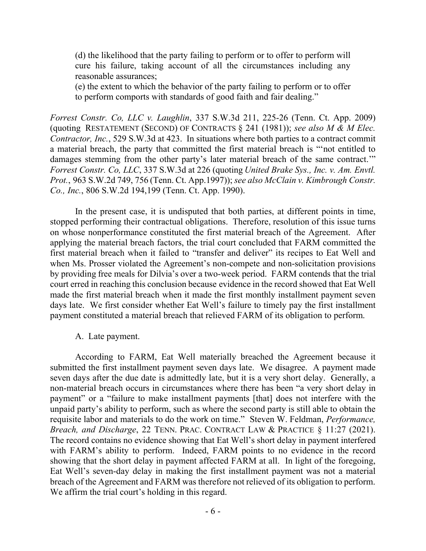(d) the likelihood that the party failing to perform or to offer to perform will cure his failure, taking account of all the circumstances including any reasonable assurances;

(e) the extent to which the behavior of the party failing to perform or to offer to perform comports with standards of good faith and fair dealing."

*Forrest Constr. Co, LLC v. Laughlin*, 337 S.W.3d 211, 225-26 (Tenn. Ct. App. 2009) (quoting RESTATEMENT (SECOND) OF CONTRACTS § 241 (1981)); *see also M & M Elec. Contractor, Inc.*, 529 S.W.3d at 423. In situations where both parties to a contract commit a material breach, the party that committed the first material breach is "'not entitled to damages stemming from the other party's later material breach of the same contract.'" *Forrest Constr. Co, LLC*, 337 S.W.3d at 226 (quoting *United Brake Sys., Inc. v. Am. Envtl. Prot.*, 963 S.W.2d 749, 756 (Tenn. Ct. App.1997)); *see also McClain v. Kimbrough Constr. Co., Inc.*, 806 S.W.2d 194,199 (Tenn. Ct. App. 1990).

In the present case, it is undisputed that both parties, at different points in time, stopped performing their contractual obligations. Therefore, resolution of this issue turns on whose nonperformance constituted the first material breach of the Agreement. After applying the material breach factors, the trial court concluded that FARM committed the first material breach when it failed to "transfer and deliver" its recipes to Eat Well and when Ms. Prosser violated the Agreement's non-compete and non-solicitation provisions by providing free meals for Dilvia's over a two-week period. FARM contends that the trial court erred in reaching this conclusion because evidence in the record showed that Eat Well made the first material breach when it made the first monthly installment payment seven days late. We first consider whether Eat Well's failure to timely pay the first installment payment constituted a material breach that relieved FARM of its obligation to perform.

### A. Late payment.

According to FARM, Eat Well materially breached the Agreement because it submitted the first installment payment seven days late. We disagree. A payment made seven days after the due date is admittedly late, but it is a very short delay. Generally, a non-material breach occurs in circumstances where there has been "a very short delay in payment" or a "failure to make installment payments [that] does not interfere with the unpaid party's ability to perform, such as where the second party is still able to obtain the requisite labor and materials to do the work on time." Steven W. Feldman, *Performance, Breach, and Discharge*, 22 TENN. PRAC. CONTRACT LAW & PRACTICE § 11:27 (2021). The record contains no evidence showing that Eat Well's short delay in payment interfered with FARM's ability to perform. Indeed, FARM points to no evidence in the record showing that the short delay in payment affected FARM at all. In light of the foregoing, Eat Well's seven-day delay in making the first installment payment was not a material breach of the Agreement and FARM was therefore not relieved of its obligation to perform. We affirm the trial court's holding in this regard.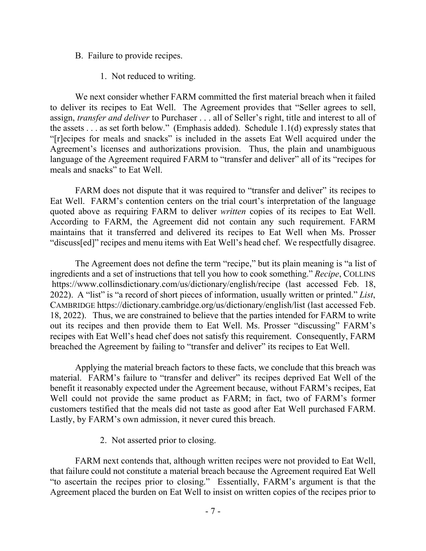- B. Failure to provide recipes.
	- 1. Not reduced to writing.

We next consider whether FARM committed the first material breach when it failed to deliver its recipes to Eat Well. The Agreement provides that "Seller agrees to sell, assign, *transfer and deliver* to Purchaser . . . all of Seller's right, title and interest to all of the assets . . . as set forth below." (Emphasis added). Schedule 1.1(d) expressly states that "[r]ecipes for meals and snacks" is included in the assets Eat Well acquired under the Agreement's licenses and authorizations provision. Thus, the plain and unambiguous language of the Agreement required FARM to "transfer and deliver" all of its "recipes for meals and snacks" to Eat Well.

FARM does not dispute that it was required to "transfer and deliver" its recipes to Eat Well. FARM's contention centers on the trial court's interpretation of the language quoted above as requiring FARM to deliver *written* copies of its recipes to Eat Well. According to FARM, the Agreement did not contain any such requirement. FARM maintains that it transferred and delivered its recipes to Eat Well when Ms. Prosser "discuss[ed]" recipes and menu items with Eat Well's head chef. We respectfully disagree.

The Agreement does not define the term "recipe," but its plain meaning is "a list of ingredients and a set of instructions that tell you how to cook something." *Recipe*, COLLINS https://www.collinsdictionary.com/us/dictionary/english/recipe (last accessed Feb. 18, 2022). A "list" is "a record of short pieces of information, usually written or printed." *List*, CAMBRIDGE https://dictionary.cambridge.org/us/dictionary/english/list (last accessed Feb. 18, 2022). Thus, we are constrained to believe that the parties intended for FARM to write out its recipes and then provide them to Eat Well. Ms. Prosser "discussing" FARM's recipes with Eat Well's head chef does not satisfy this requirement. Consequently, FARM breached the Agreement by failing to "transfer and deliver" its recipes to Eat Well.

Applying the material breach factors to these facts, we conclude that this breach was material. FARM's failure to "transfer and deliver" its recipes deprived Eat Well of the benefit it reasonably expected under the Agreement because, without FARM's recipes, Eat Well could not provide the same product as FARM; in fact, two of FARM's former customers testified that the meals did not taste as good after Eat Well purchased FARM. Lastly, by FARM's own admission, it never cured this breach.

2. Not asserted prior to closing.

FARM next contends that, although written recipes were not provided to Eat Well, that failure could not constitute a material breach because the Agreement required Eat Well "to ascertain the recipes prior to closing." Essentially, FARM's argument is that the Agreement placed the burden on Eat Well to insist on written copies of the recipes prior to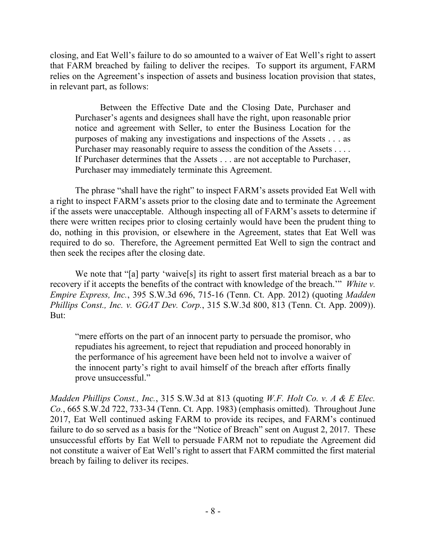closing, and Eat Well's failure to do so amounted to a waiver of Eat Well's right to assert that FARM breached by failing to deliver the recipes. To support its argument, FARM relies on the Agreement's inspection of assets and business location provision that states, in relevant part, as follows:

Between the Effective Date and the Closing Date, Purchaser and Purchaser's agents and designees shall have the right, upon reasonable prior notice and agreement with Seller, to enter the Business Location for the purposes of making any investigations and inspections of the Assets . . . as Purchaser may reasonably require to assess the condition of the Assets . . . . If Purchaser determines that the Assets . . . are not acceptable to Purchaser, Purchaser may immediately terminate this Agreement.

The phrase "shall have the right" to inspect FARM's assets provided Eat Well with a right to inspect FARM's assets prior to the closing date and to terminate the Agreement if the assets were unacceptable. Although inspecting all of FARM's assets to determine if there were written recipes prior to closing certainly would have been the prudent thing to do, nothing in this provision, or elsewhere in the Agreement, states that Eat Well was required to do so. Therefore, the Agreement permitted Eat Well to sign the contract and then seek the recipes after the closing date.

We note that "[a] party 'waive<sup>[s]</sup> its right to assert first material breach as a bar to recovery if it accepts the benefits of the contract with knowledge of the breach.'" *White v. Empire Express, Inc.*, 395 S.W.3d 696, 715-16 (Tenn. Ct. App. 2012) (quoting *Madden Phillips Const., Inc. v. GGAT Dev. Corp.*, 315 S.W.3d 800, 813 (Tenn. Ct. App. 2009)). But:

"mere efforts on the part of an innocent party to persuade the promisor, who repudiates his agreement, to reject that repudiation and proceed honorably in the performance of his agreement have been held not to involve a waiver of the innocent party's right to avail himself of the breach after efforts finally prove unsuccessful."

*Madden Phillips Const., Inc.*, 315 S.W.3d at 813 (quoting *W.F. Holt Co. v. A & E Elec. Co.*, 665 S.W.2d 722, 733-34 (Tenn. Ct. App. 1983) (emphasis omitted). Throughout June 2017, Eat Well continued asking FARM to provide its recipes, and FARM's continued failure to do so served as a basis for the "Notice of Breach" sent on August 2, 2017. These unsuccessful efforts by Eat Well to persuade FARM not to repudiate the Agreement did not constitute a waiver of Eat Well's right to assert that FARM committed the first material breach by failing to deliver its recipes.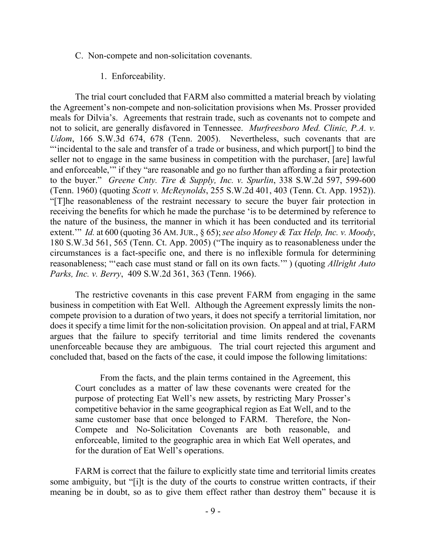- C. Non-compete and non-solicitation covenants.
	- 1. Enforceability.

The trial court concluded that FARM also committed a material breach by violating the Agreement's non-compete and non-solicitation provisions when Ms. Prosser provided meals for Dilvia's. Agreements that restrain trade, such as covenants not to compete and not to solicit, are generally disfavored in Tennessee. *Murfreesboro Med. Clinic, P.A. v. Udom*, 166 S.W.3d 674, 678 (Tenn. 2005). Nevertheless, such covenants that are "'incidental to the sale and transfer of a trade or business, and which purport[] to bind the seller not to engage in the same business in competition with the purchaser, [are] lawful and enforceable,'" if they "are reasonable and go no further than affording a fair protection to the buyer." *Greene Cnty. Tire & Supply, Inc. v. Spurlin*, 338 S.W.2d 597, 599-600 (Tenn. 1960) (quoting *Scott v. McReynolds*, 255 S.W.2d 401, 403 (Tenn. Ct. App. 1952)). "[T]he reasonableness of the restraint necessary to secure the buyer fair protection in receiving the benefits for which he made the purchase 'is to be determined by reference to the nature of the business, the manner in which it has been conducted and its territorial extent.'" *Id.* at 600 (quoting 36 AM.JUR., § 65); *see also Money & Tax Help, Inc. v. Moody*, 180 S.W.3d 561, 565 (Tenn. Ct. App. 2005) ("The inquiry as to reasonableness under the circumstances is a fact-specific one, and there is no inflexible formula for determining reasonableness; "'each case must stand or fall on its own facts.'" ) (quoting *Allright Auto Parks, Inc. v. Berry*, 409 S.W.2d 361, 363 (Tenn. 1966).

The restrictive covenants in this case prevent FARM from engaging in the same business in competition with Eat Well. Although the Agreement expressly limits the noncompete provision to a duration of two years, it does not specify a territorial limitation, nor does it specify a time limit for the non-solicitation provision. On appeal and at trial, FARM argues that the failure to specify territorial and time limits rendered the covenants unenforceable because they are ambiguous. The trial court rejected this argument and concluded that, based on the facts of the case, it could impose the following limitations:

From the facts, and the plain terms contained in the Agreement, this Court concludes as a matter of law these covenants were created for the purpose of protecting Eat Well's new assets, by restricting Mary Prosser's competitive behavior in the same geographical region as Eat Well, and to the same customer base that once belonged to FARM. Therefore, the Non-Compete and No-Solicitation Covenants are both reasonable, and enforceable, limited to the geographic area in which Eat Well operates, and for the duration of Eat Well's operations.

FARM is correct that the failure to explicitly state time and territorial limits creates some ambiguity, but "[i]t is the duty of the courts to construe written contracts, if their meaning be in doubt, so as to give them effect rather than destroy them" because it is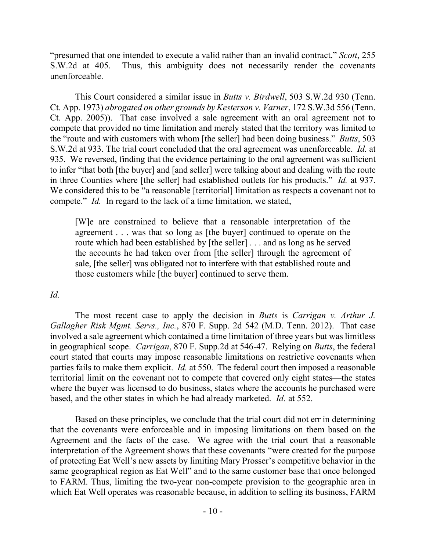"presumed that one intended to execute a valid rather than an invalid contract." *Scott*, 255 S.W.2d at 405. Thus, this ambiguity does not necessarily render the covenants unenforceable.

This Court considered a similar issue in *Butts v. Birdwell*, 503 S.W.2d 930 (Tenn. Ct. App. 1973) *abrogated on other grounds by Kesterson v. Varner*, 172 S.W.3d 556 (Tenn. Ct. App. 2005)). That case involved a sale agreement with an oral agreement not to compete that provided no time limitation and merely stated that the territory was limited to the "route and with customers with whom [the seller] had been doing business." *Butts*, 503 S.W.2d at 933. The trial court concluded that the oral agreement was unenforceable. *Id.* at 935. We reversed, finding that the evidence pertaining to the oral agreement was sufficient to infer "that both [the buyer] and [and seller] were talking about and dealing with the route in three Counties where [the seller] had established outlets for his products." *Id.* at 937. We considered this to be "a reasonable [territorial] limitation as respects a covenant not to compete." *Id.* In regard to the lack of a time limitation, we stated,

[W]e are constrained to believe that a reasonable interpretation of the agreement . . . was that so long as [the buyer] continued to operate on the route which had been established by [the seller] . . . and as long as he served the accounts he had taken over from [the seller] through the agreement of sale, [the seller] was obligated not to interfere with that established route and those customers while [the buyer] continued to serve them.

### *Id.*

The most recent case to apply the decision in *Butts* is *Carrigan v. Arthur J. Gallagher Risk Mgmt. Servs., Inc.*, 870 F. Supp. 2d 542 (M.D. Tenn. 2012). That case involved a sale agreement which contained a time limitation of three years but was limitless in geographical scope. *Carrigan*, 870 F. Supp.2d at 546-47. Relying on *Butts*, the federal court stated that courts may impose reasonable limitations on restrictive covenants when parties fails to make them explicit. *Id.* at 550. The federal court then imposed a reasonable territorial limit on the covenant not to compete that covered only eight states—the states where the buyer was licensed to do business, states where the accounts he purchased were based, and the other states in which he had already marketed. *Id.* at 552.

Based on these principles, we conclude that the trial court did not err in determining that the covenants were enforceable and in imposing limitations on them based on the Agreement and the facts of the case. We agree with the trial court that a reasonable interpretation of the Agreement shows that these covenants "were created for the purpose of protecting Eat Well's new assets by limiting Mary Prosser's competitive behavior in the same geographical region as Eat Well" and to the same customer base that once belonged to FARM. Thus, limiting the two-year non-compete provision to the geographic area in which Eat Well operates was reasonable because, in addition to selling its business, FARM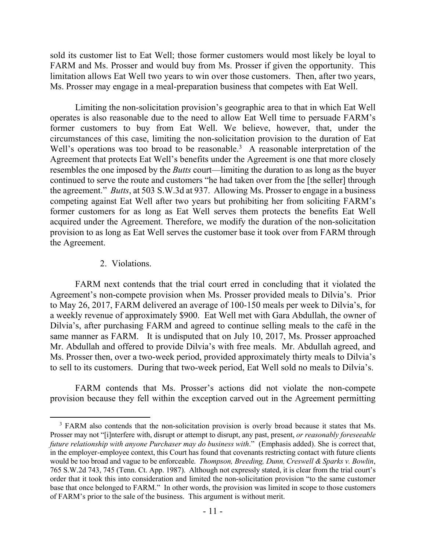sold its customer list to Eat Well; those former customers would most likely be loyal to FARM and Ms. Prosser and would buy from Ms. Prosser if given the opportunity. This limitation allows Eat Well two years to win over those customers. Then, after two years, Ms. Prosser may engage in a meal-preparation business that competes with Eat Well.

Limiting the non-solicitation provision's geographic area to that in which Eat Well operates is also reasonable due to the need to allow Eat Well time to persuade FARM's former customers to buy from Eat Well. We believe, however, that, under the circumstances of this case, limiting the non-solicitation provision to the duration of Eat Well's operations was too broad to be reasonable.<sup>3</sup> A reasonable interpretation of the Agreement that protects Eat Well's benefits under the Agreement is one that more closely resembles the one imposed by the *Butts* court—limiting the duration to as long as the buyer continued to serve the route and customers "he had taken over from the [the seller] through the agreement." *Butts*, at 503 S.W.3d at 937. Allowing Ms. Prosser to engage in a business competing against Eat Well after two years but prohibiting her from soliciting FARM's former customers for as long as Eat Well serves them protects the benefits Eat Well acquired under the Agreement. Therefore, we modify the duration of the non-solicitation provision to as long as Eat Well serves the customer base it took over from FARM through the Agreement.

## 2. Violations.

 $\overline{a}$ 

FARM next contends that the trial court erred in concluding that it violated the Agreement's non-compete provision when Ms. Prosser provided meals to Dilvia's. Prior to May 26, 2017, FARM delivered an average of 100-150 meals per week to Dilvia's, for a weekly revenue of approximately \$900. Eat Well met with Gara Abdullah, the owner of Dilvia's, after purchasing FARM and agreed to continue selling meals to the café in the same manner as FARM. It is undisputed that on July 10, 2017, Ms. Prosser approached Mr. Abdullah and offered to provide Dilvia's with free meals. Mr. Abdullah agreed, and Ms. Prosser then, over a two-week period, provided approximately thirty meals to Dilvia's to sell to its customers. During that two-week period, Eat Well sold no meals to Dilvia's.

FARM contends that Ms. Prosser's actions did not violate the non-compete provision because they fell within the exception carved out in the Agreement permitting

<sup>&</sup>lt;sup>3</sup> FARM also contends that the non-solicitation provision is overly broad because it states that Ms. Prosser may not "[i]nterfere with, disrupt or attempt to disrupt, any past, present, *or reasonably foreseeable future relationship with anyone Purchaser may do business with*." (Emphasis added). She is correct that, in the employer-employee context, this Court has found that covenants restricting contact with future clients would be too broad and vague to be enforceable. *Thompson, Breeding, Dunn, Creswell & Sparks v. Bowlin*, 765 S.W.2d 743, 745 (Tenn. Ct. App. 1987). Although not expressly stated, it is clear from the trial court's order that it took this into consideration and limited the non-solicitation provision "to the same customer base that once belonged to FARM." In other words, the provision was limited in scope to those customers of FARM's prior to the sale of the business. This argument is without merit.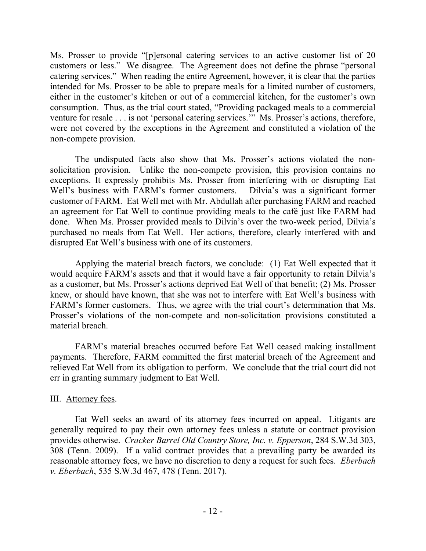Ms. Prosser to provide "[p]ersonal catering services to an active customer list of 20 customers or less." We disagree. The Agreement does not define the phrase "personal catering services." When reading the entire Agreement, however, it is clear that the parties intended for Ms. Prosser to be able to prepare meals for a limited number of customers, either in the customer's kitchen or out of a commercial kitchen, for the customer's own consumption. Thus, as the trial court stated, "Providing packaged meals to a commercial venture for resale . . . is not 'personal catering services.'" Ms. Prosser's actions, therefore, were not covered by the exceptions in the Agreement and constituted a violation of the non-compete provision.

The undisputed facts also show that Ms. Prosser's actions violated the nonsolicitation provision. Unlike the non-compete provision, this provision contains no exceptions. It expressly prohibits Ms. Prosser from interfering with or disrupting Eat Well's business with FARM's former customers. Dilvia's was a significant former customer of FARM. Eat Well met with Mr. Abdullah after purchasing FARM and reached an agreement for Eat Well to continue providing meals to the café just like FARM had done. When Ms. Prosser provided meals to Dilvia's over the two-week period, Dilvia's purchased no meals from Eat Well. Her actions, therefore, clearly interfered with and disrupted Eat Well's business with one of its customers.

Applying the material breach factors, we conclude: (1) Eat Well expected that it would acquire FARM's assets and that it would have a fair opportunity to retain Dilvia's as a customer, but Ms. Prosser's actions deprived Eat Well of that benefit; (2) Ms. Prosser knew, or should have known, that she was not to interfere with Eat Well's business with FARM's former customers. Thus, we agree with the trial court's determination that Ms. Prosser's violations of the non-compete and non-solicitation provisions constituted a material breach.

FARM's material breaches occurred before Eat Well ceased making installment payments. Therefore, FARM committed the first material breach of the Agreement and relieved Eat Well from its obligation to perform. We conclude that the trial court did not err in granting summary judgment to Eat Well.

## III. Attorney fees.

Eat Well seeks an award of its attorney fees incurred on appeal. Litigants are generally required to pay their own attorney fees unless a statute or contract provision provides otherwise. *Cracker Barrel Old Country Store, Inc. v. Epperson*, 284 S.W.3d 303, 308 (Tenn. 2009). If a valid contract provides that a prevailing party be awarded its reasonable attorney fees, we have no discretion to deny a request for such fees. *Eberbach v. Eberbach*, 535 S.W.3d 467, 478 (Tenn. 2017).